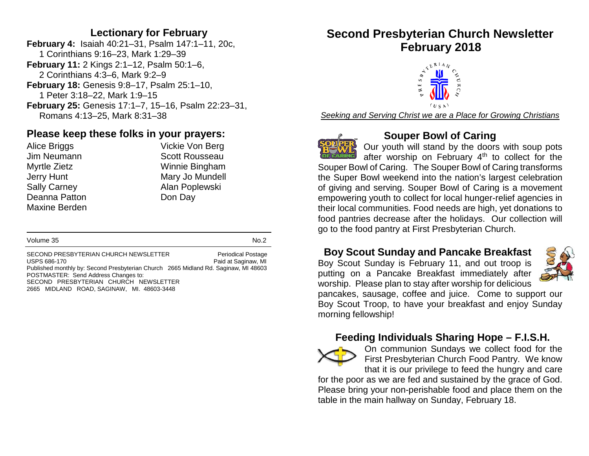#### **Lectionary for February**

**February 4:** Isaiah 40:21–31, Psalm 147:1–11, 20c, 1 Corinthians 9:16–23, Mark 1:29–39 **February 11:** 2 Kings 2:1–12, Psalm 50:1–6, 2 Corinthians 4:3–6, Mark 9:2–9 **February 18:** Genesis 9:8–17, Psalm 25:1–10, 1 Peter 3:18–22, Mark 1:9–15 **February 25:** Genesis 17:1–7, 15–16, Psalm 22:23–31, Romans 4:13–25, Mark 8:31–38

## **Please keep these folks in your prayers:**

Deanna Patton **Don Day** Maxine Berden

Alice Briggs **Vickie Von Berg** Jim Neumann Scott Rousseau Myrtle Zietz Winnie Bingham Jerry Hunt Mary Jo Mundell Sally Carney **Alan Poplewski** 

#### Volume 35 No.2

SECOND PRESBYTERIAN CHURCH NEWSLETTER<br>
USPS 686-170<br>
MI Paid at Saginaw, MI Published monthly by: Second Presbyterian Church 2665 Midland Rd. Saginaw, MI 48603 POSTMASTER: Send Address Changes to: SECOND PRESBYTERIAN CHURCH NEWSLETTER 2665 MIDLAND ROAD, SAGINAW, MI. 48603-3448

# **Second Presbyterian Church Newsletter February 2018**



*Seeking and Serving Christ we are a Place for Growing Christians*



#### **Souper Bowl of Caring**

Our youth will stand by the doors with soup pots after worship on February 4<sup>th</sup> to collect for the Souper Bowl of Caring. The Souper Bowl of Caring transforms the Super Bowl weekend into the nation's largest celebration of giving and serving. Souper Bowl of Caring is a movement empowering youth to collect for local hunger-relief agencies in their local communities. Food needs are high, yet donations to food pantries decrease after the holidays. Our collection will go to the food pantry at First Presbyterian Church.

#### **Boy Scout Sunday and Pancake Breakfast**

Boy Scout Sunday is February 11, and out troop is putting on a Pancake Breakfast immediately after worship. Please plan to stay after worship for delicious



pancakes, sausage, coffee and juice. Come to support our Boy Scout Troop, to have your breakfast and enjoy Sunday morning fellowship!

#### **Feeding Individuals Sharing Hope – F.I.S.H.**



On communion Sundays we collect food for the First Presbyterian Church Food Pantry. We know that it is our privilege to feed the hungry and care

for the poor as we are fed and sustained by the grace of God. Please bring your non-perishable food and place them on the table in the main hallway on Sunday, February 18.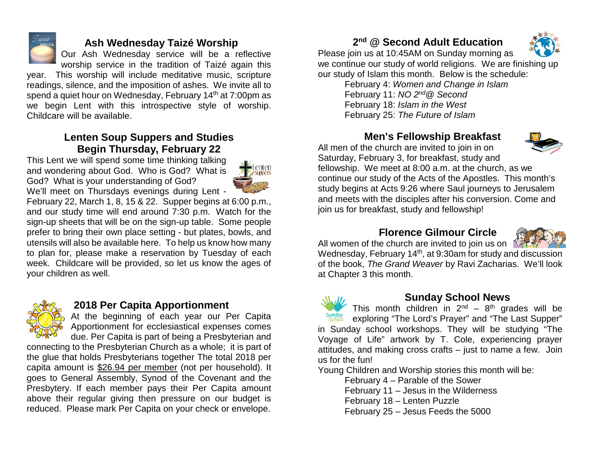

#### **Ash Wednesday Taizé Worship**

Our Ash Wednesday service will be a reflective worship service in the tradition of Taizé again this

year. This worship will include meditative music, scripture readings, silence, and the imposition of ashes. We invite all to spend a quiet hour on Wednesday, February 14<sup>th</sup> at 7:00pm as we begin Lent with this introspective style of worship. Childcare will be available.

### **Lenten Soup Suppers and Studies Begin Thursday, February 22**

This Lent we will spend some time thinking talking and wondering about God. Who is God? What is God? What is your understanding of God? We'll meet on Thursdays evenings during Lent -



February 22, March 1, 8, 15 & 22. Supper begins at 6:00 p.m., and our study time will end around 7:30 p.m. Watch for the sign-up sheets that will be on the sign-up table. Some people prefer to bring their own place setting - but plates, bowls, and utensils will also be available here. To help us know how many to plan for, please make a reservation by Tuesday of each week. Childcare will be provided, so let us know the ages of your children as well.



#### **2018 Per Capita Apportionment**

At the beginning of each year our Per Capita Apportionment for ecclesiastical expenses comes due. Per Capita is part of being a Presbyterian and

connecting to the Presbyterian Church as a whole; it is part of the glue that holds Presbyterians together The total 2018 per capita amount is \$26.94 per member (not per household). It goes to General Assembly, Synod of the Covenant and the Presbytery. If each member pays their Per Capita amount above their regular giving then pressure on our budget is reduced. Please mark Per Capita on your check or envelope.

# **2nd @ Second Adult Education**



Please join us at 10:45AM on Sunday morning as we continue our study of world religions. We are finishing up our study of Islam this month. Below is the schedule:

February 4: *Women and Change in Islam* February 11: *NO 2nd@ Second*  February 18: *Islam in the West* February 25: *The Future of Islam*

### **Men's Fellowship Breakfast**

All men of the church are invited to join in on Saturday, February 3, for breakfast, study and



fellowship. We meet at 8:00 a.m. at the church, as we continue our study of the Acts of the Apostles. This month's study begins at Acts 9:26 where Saul journeys to Jerusalem and meets with the disciples after his conversion. Come and join us for breakfast, study and fellowship!

## **Florence Gilmour Circle**



All women of the church are invited to join us on  $\mathbb{N}$ Wednesday, February 14th, at 9:30am for study and discussion of the book, *The Grand Weaver* by Ravi Zacharias. We'll look at Chapter 3 this month.



#### **Sunday School News**

This month children in  $2^{nd}$  –  $8^{th}$  grades will be exploring "The Lord's Prayer" and "The Last Supper" in Sunday school workshops. They will be studying "The Voyage of Life" artwork by T. Cole, experiencing prayer attitudes, and making cross crafts – just to name a few. Join us for the fun!

Young Children and Worship stories this month will be:

February 4 – Parable of the Sower February 11 – Jesus in the Wilderness February 18 – Lenten Puzzle February 25 – Jesus Feeds the 5000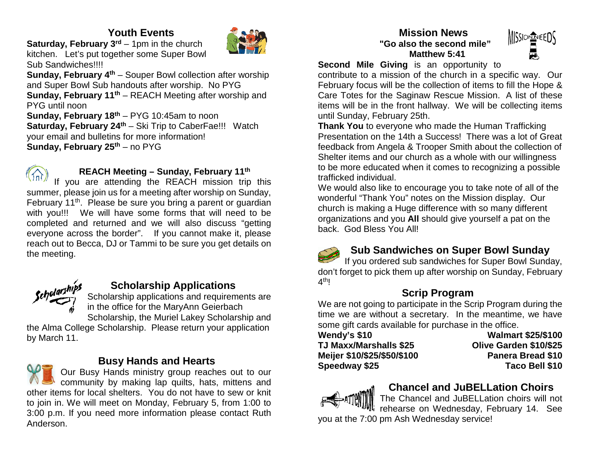# **Youth Events**



**Saturday, February 3<sup>rd</sup>** – 1pm in the church kitchen. Let's put together some Super Bowl Sub Sandwiches!!!!

**Sunday, February 4<sup>th</sup>** – Souper Bowl collection after worship and Super Bowl Sub handouts after worship. No PYG **Sunday, February 11<sup>th</sup>** – REACH Meeting after worship and PYG until noon **Sunday, February 18th** – PYG 10:45am to noon

**Saturday, February 24<sup>th</sup>** – Ski Trip to CaberFae!!! Watch your email and bulletins for more information! **Sunday, February 25<sup>th</sup> – no PYG** 



#### **REACH Meeting – Sunday, February 11th**

If you are attending the REACH mission trip this summer, please join us for a meeting after worship on Sunday, February 11<sup>th</sup>. Please be sure you bring a parent or quardian with you!!! We will have some forms that will need to be completed and returned and we will also discuss "getting everyone across the border". If you cannot make it, please reach out to Becca, DJ or Tammi to be sure you get details on the meeting.



# **Scholarship Applications**

Scholarship applications and requirements are in the office for the MaryAnn Geierbach

Scholarship, the Muriel Lakey Scholarship and the Alma College Scholarship. Please return your application by March 11.

#### **Busy Hands and Hearts**

Our Busy Hands ministry group reaches out to our community by making lap quilts, hats, mittens and other items for local shelters. You do not have to sew or knit to join in. We will meet on Monday, February 5, from 1:00 to 3:00 p.m. If you need more information please contact Ruth Anderson.

#### **Mission News "Go also the second mile" Matthew 5:41**



**Second Mile Giving** is an opportunity to

contribute to a mission of the church in a specific way. Our February focus will be the collection of items to fill the Hope & Care Totes for the Saginaw Rescue Mission. A list of these items will be in the front hallway. We will be collecting items until Sunday, February 25th.

**Thank You** to everyone who made the Human Trafficking Presentation on the 14th a Success! There was a lot of Great feedback from Angela & Trooper Smith about the collection of Shelter items and our church as a whole with our willingness to be more educated when it comes to recognizing a possible trafficked individual.

We would also like to encourage you to take note of all of the wonderful "Thank You" notes on the Mission display. Our church is making a Huge difference with so many different organizations and you **All** should give yourself a pat on the back. God Bless You All!

#### **Sub Sandwiches on Super Bowl Sunday**

If you ordered sub sandwiches for Super Bowl Sunday, don't forget to pick them up after worship on Sunday, February  $4<sup>th</sup>!$ 

# **Scrip Program**

We are not going to participate in the Scrip Program during the time we are without a secretary. In the meantime, we have some gift cards available for purchase in the office.

| Wendy's \$10                  |
|-------------------------------|
| <b>TJ Maxx/Marshalls \$25</b> |
| Meijer \$10/\$25/\$50/\$100   |
| Speedway \$25                 |

**Wendy's \$10 Walmart \$25/\$100 TJ Maxx/Marshalls \$25 Olive Garden \$10/\$25 Panera Bread \$10 Speedway \$25 Taco Bell \$10** 



# **Chancel and JuBELLation Choirs**

The Chancel and JuBELLation choirs will not rehearse on Wednesday, February 14. See you at the 7:00 pm Ash Wednesday service!